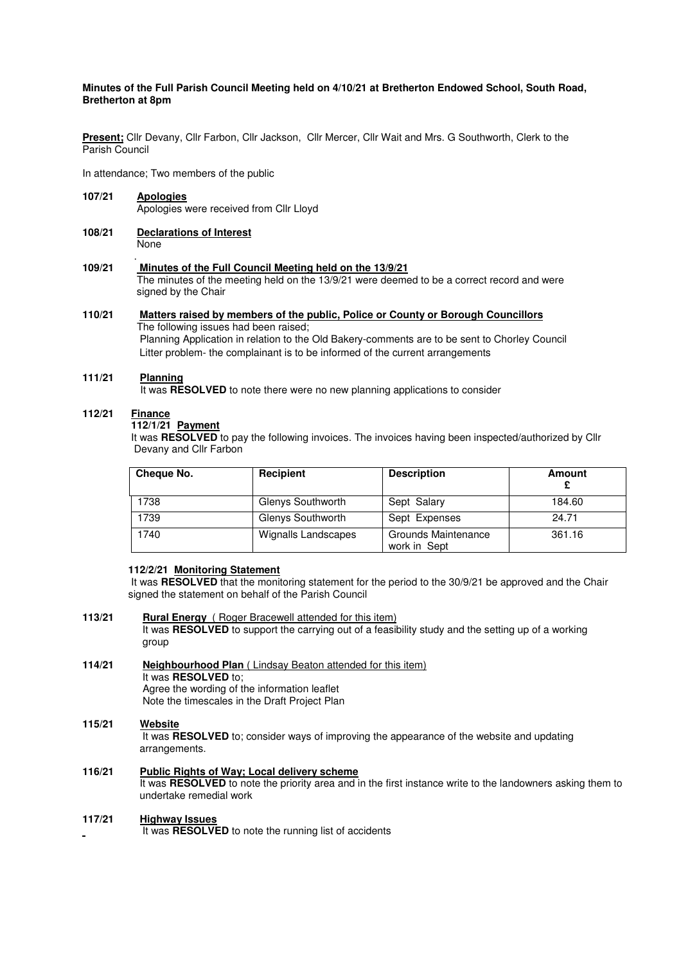## **Minutes of the Full Parish Council Meeting held on 4/10/21 at Bretherton Endowed School, South Road, Bretherton at 8pm**

**Present;** Cllr Devany, Cllr Farbon, Cllr Jackson, Cllr Mercer, Cllr Wait and Mrs. G Southworth, Clerk to the Parish Council

In attendance; Two members of the public

- **107/21 Apologies** Apologies were received from Cllr Lloyd
- **108/21 Declarations of Interest None**

#### . **109/21 Minutes of the Full Council Meeting held on the 13/9/21**

 The minutes of the meeting held on the 13/9/21 were deemed to be a correct record and were signed by the Chair

# **110/21 Matters raised by members of the public, Police or County or Borough Councillors**

The following issues had been raised; Planning Application in relation to the Old Bakery-comments are to be sent to Chorley Council Litter problem- the complainant is to be informed of the current arrangements

# **111/21 Planning**

It was **RESOLVED** to note there were no new planning applications to consider

## **112/21 Finance**

#### **112/1/21 Payment**

It was RESOLVED to pay the following invoices. The invoices having been inspected/authorized by Cllr Devany and Cllr Farbon

| <b>Cheque No.</b> | Recipient                  | <b>Description</b>                         | Amount |
|-------------------|----------------------------|--------------------------------------------|--------|
| 1738              | Glenys Southworth          | Sept Salary                                | 184.60 |
| 1739              | Glenys Southworth          | Sept Expenses                              | 24.71  |
| 1740              | <b>Wignalls Landscapes</b> | <b>Grounds Maintenance</b><br>work in Sept | 361.16 |

## **112/2/21 Monitoring Statement**

 It was **RESOLVED** that the monitoring statement for the period to the 30/9/21 be approved and the Chair signed the statement on behalf of the Parish Council

**113/21 Rural Energy** ( Roger Bracewell attended for this item) It was **RESOLVED** to support the carrying out of a feasibility study and the setting up of a working group

**114/21 Neighbourhood Plan** ( Lindsay Beaton attended for this item) It was **RESOLVED** to; Agree the wording of the information leaflet Note the timescales in the Draft Project Plan

# **115/21 Website**

 It was **RESOLVED** to; consider ways of improving the appearance of the website and updating arrangements.

**116/21 Public Rights of Way; Local delivery scheme** It was **RESOLVED** to note the priority area and in the first instance write to the landowners asking them to undertake remedial work

## **117/21 Highway Issues**

It was **RESOLVED** to note the running list of accidents